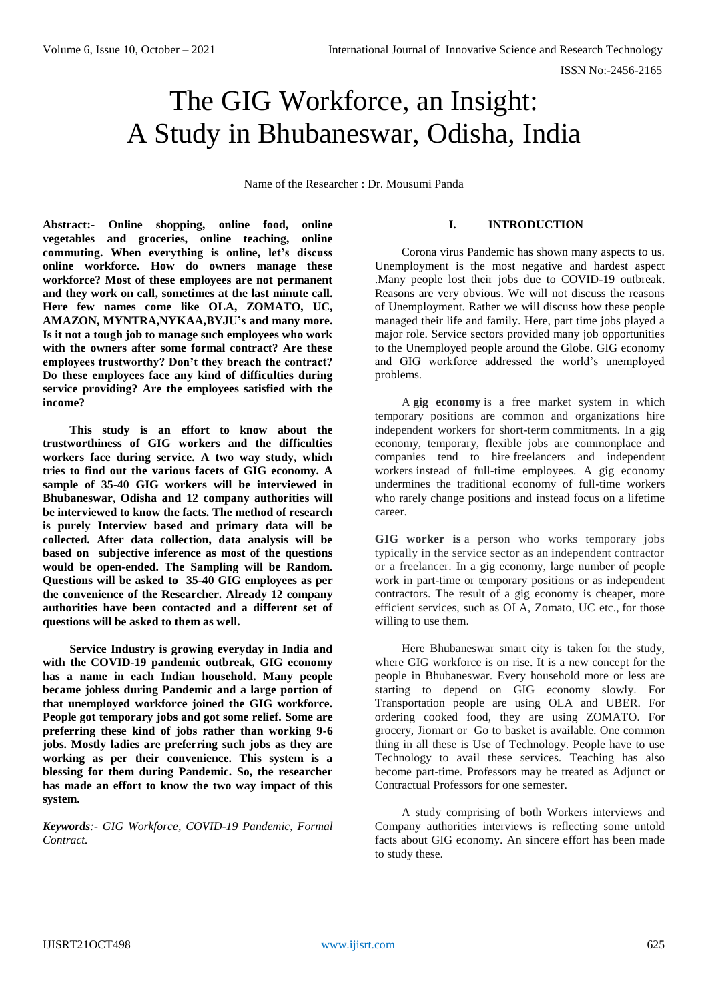# The GIG Workforce, an Insight: A Study in Bhubaneswar, Odisha, India

Name of the Researcher : Dr. Mousumi Panda

**Abstract:- Online shopping, online food, online vegetables and groceries, online teaching, online commuting. When everything is online, let's discuss online workforce. How do owners manage these workforce? Most of these employees are not permanent and they work on call, sometimes at the last minute call. Here few names come like OLA, ZOMATO, UC, AMAZON, MYNTRA,NYKAA,BYJU's and many more. Is it not a tough job to manage such employees who work with the owners after some formal contract? Are these employees trustworthy? Don't they breach the contract? Do these employees face any kind of difficulties during service providing? Are the employees satisfied with the income?**

**This study is an effort to know about the trustworthiness of GIG workers and the difficulties workers face during service. A two way study, which tries to find out the various facets of GIG economy. A sample of 35-40 GIG workers will be interviewed in Bhubaneswar, Odisha and 12 company authorities will be interviewed to know the facts. The method of research is purely Interview based and primary data will be collected. After data collection, data analysis will be based on subjective inference as most of the questions would be open-ended. The Sampling will be Random. Questions will be asked to 35-40 GIG employees as per the convenience of the Researcher. Already 12 company authorities have been contacted and a different set of questions will be asked to them as well.**

**Service Industry is growing everyday in India and with the COVID-19 pandemic outbreak, GIG economy has a name in each Indian household. Many people became jobless during Pandemic and a large portion of that unemployed workforce joined the GIG workforce. People got temporary jobs and got some relief. Some are preferring these kind of jobs rather than working 9-6 jobs. Mostly ladies are preferring such jobs as they are working as per their convenience. This system is a blessing for them during Pandemic. So, the researcher has made an effort to know the two way impact of this system.**

*Keywords:- GIG Workforce, COVID-19 Pandemic, Formal Contract.*

## **I. INTRODUCTION**

Corona virus Pandemic has shown many aspects to us. Unemployment is the most negative and hardest aspect .Many people lost their jobs due to COVID-19 outbreak. Reasons are very obvious. We will not discuss the reasons of Unemployment. Rather we will discuss how these people managed their life and family. Here, part time jobs played a major role. Service sectors provided many job opportunities to the Unemployed people around the Globe. GIG economy and GIG workforce addressed the world's unemployed problems.

A **gig economy** is a free market system in which temporary positions are common and organizations hire independent workers for short-term commitments. In a gig economy, temporary, flexible jobs are commonplace and companies tend to hire freelancers and independent workers instead of full-time employees. A gig economy undermines the traditional economy of full-time workers who rarely change positions and instead focus on a lifetime career.

**GIG worker is** a person who works temporary jobs typically in the service sector as an independent contractor or a freelancer. In a gig economy, large number of people work in part-time or temporary positions or as independent contractors. The result of a gig economy is cheaper, more efficient services, such as OLA, Zomato, UC etc., for those willing to use them.

Here Bhubaneswar smart city is taken for the study, where GIG workforce is on rise. It is a new concept for the people in Bhubaneswar. Every household more or less are starting to depend on GIG economy slowly. For Transportation people are using OLA and UBER. For ordering cooked food, they are using ZOMATO. For grocery, Jiomart or Go to basket is available. One common thing in all these is Use of Technology. People have to use Technology to avail these services. Teaching has also become part-time. Professors may be treated as Adjunct or Contractual Professors for one semester.

A study comprising of both Workers interviews and Company authorities interviews is reflecting some untold facts about GIG economy. An sincere effort has been made to study these.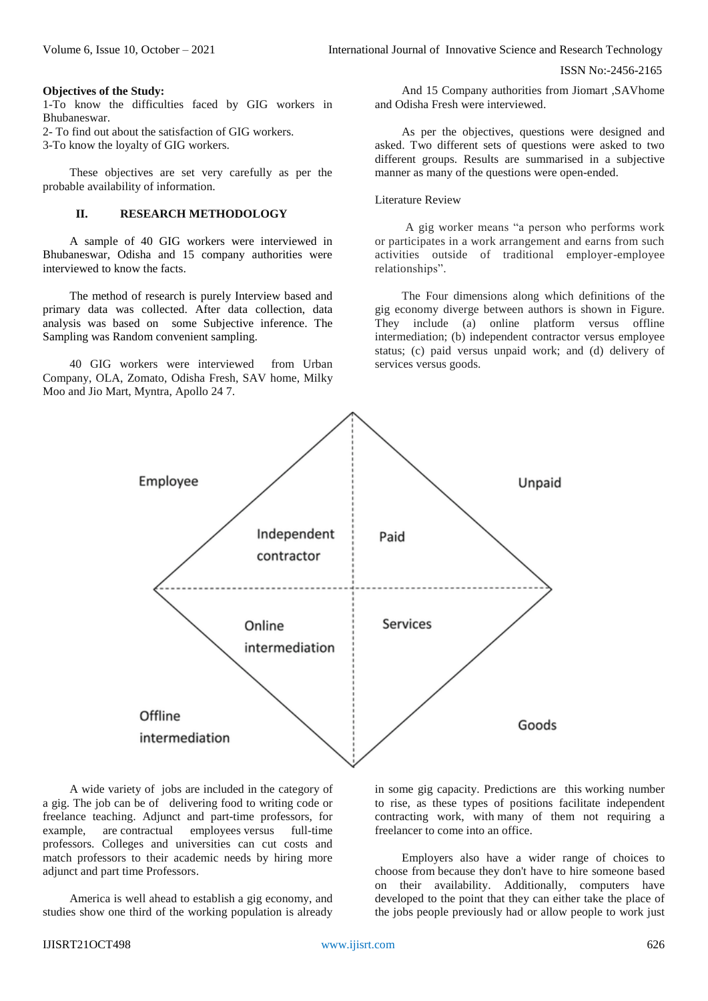ISSN No:-2456-2165

#### **Objectives of the Study:**

1-To know the difficulties faced by GIG workers in Bhubaneswar.

2- To find out about the satisfaction of GIG workers.

3-To know the loyalty of GIG workers.

These objectives are set very carefully as per the probable availability of information.

## **II. RESEARCH METHODOLOGY**

A sample of 40 GIG workers were interviewed in Bhubaneswar, Odisha and 15 company authorities were interviewed to know the facts.

The method of research is purely Interview based and primary data was collected. After data collection, data analysis was based on some Subjective inference. The Sampling was Random convenient sampling.

40 GIG workers were interviewed from Urban Company, OLA, Zomato, Odisha Fresh, SAV home, Milky Moo and Jio Mart, Myntra, Apollo 24 7.

And 15 Company authorities from Jiomart ,SAVhome and Odisha Fresh were interviewed.

As per the objectives, questions were designed and asked. Two different sets of questions were asked to two different groups. Results are summarised in a subjective manner as many of the questions were open-ended.

Literature Review

A gig worker means "a person who performs work or participates in a work arrangement and earns from such activities outside of traditional employer-employee relationships".

The Four dimensions along which definitions of the gig economy diverge between authors is shown in Figure. They include (a) online platform versus offline intermediation; (b) independent contractor versus employee status; (c) paid versus unpaid work; and (d) delivery of services versus goods.



A wide variety of jobs are included in the category of a gig. The job can be of delivering food to writing code or freelance teaching. Adjunct and part-time professors, for example, are contractual employees versus full-time professors. Colleges and universities can cut costs and match professors to their academic needs by hiring more adjunct and part time Professors.

America is well ahead to establish a gig economy, and studies show one third of the working population is already in some gig capacity. Predictions are this working number to rise, as these types of positions facilitate independent contracting work, with many of them not requiring a freelancer to come into an office.

Employers also have a wider range of choices to choose from because they don't have to hire someone based on their availability. Additionally, computers have developed to the point that they can either take the place of the jobs people previously had or allow people to work just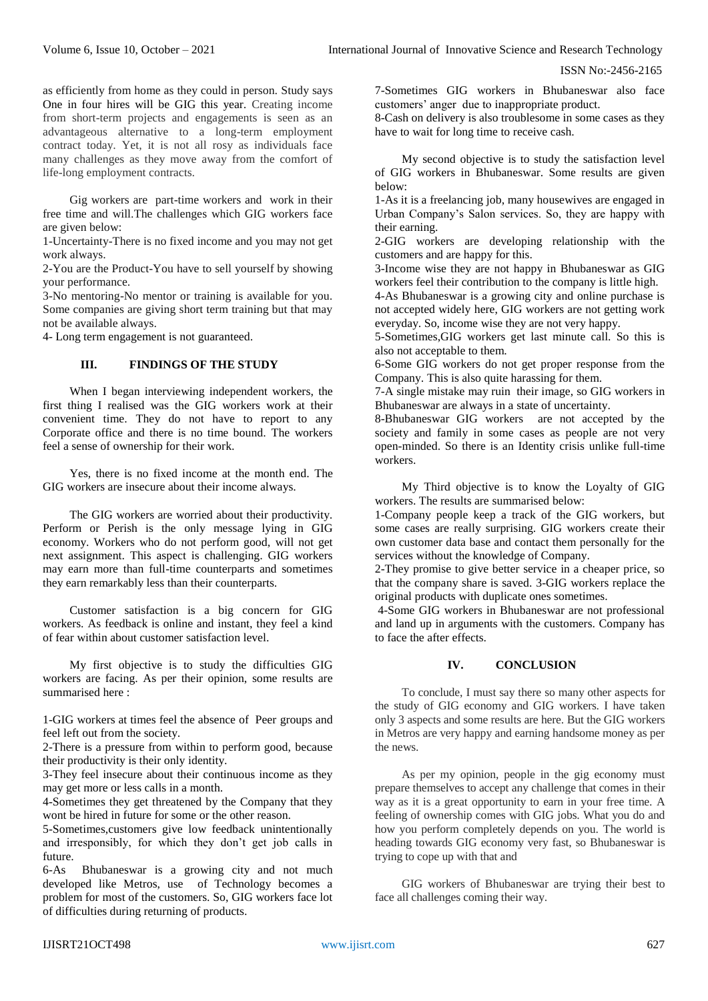ISSN No:-2456-2165

as efficiently from home as they could in person. Study says One in four hires will be GIG this year. Creating income from short-term projects and engagements is seen as an advantageous alternative to a long-term employment contract today. Yet, it is not all rosy as individuals face many challenges as they move away from the comfort of life-long employment contracts.

Gig workers are part-time workers and work in their free time and will.The challenges which GIG workers face are given below:

1-Uncertainty-There is no fixed income and you may not get work always.

2-You are the Product-You have to sell yourself by showing your performance.

3-No mentoring-No mentor or training is available for you. Some companies are giving short term training but that may not be available always.

4- Long term engagement is not guaranteed.

### **III. FINDINGS OF THE STUDY**

When I began interviewing independent workers, the first thing I realised was the GIG workers work at their convenient time. They do not have to report to any Corporate office and there is no time bound. The workers feel a sense of ownership for their work.

Yes, there is no fixed income at the month end. The GIG workers are insecure about their income always.

The GIG workers are worried about their productivity. Perform or Perish is the only message lying in GIG economy. Workers who do not perform good, will not get next assignment. This aspect is challenging. GIG workers may earn more than full-time counterparts and sometimes they earn remarkably less than their counterparts.

Customer satisfaction is a big concern for GIG workers. As feedback is online and instant, they feel a kind of fear within about customer satisfaction level.

My first objective is to study the difficulties GIG workers are facing. As per their opinion, some results are summarised here :

1-GIG workers at times feel the absence of Peer groups and feel left out from the society.

2-There is a pressure from within to perform good, because their productivity is their only identity.

3-They feel insecure about their continuous income as they may get more or less calls in a month.

4-Sometimes they get threatened by the Company that they wont be hired in future for some or the other reason.

5-Sometimes,customers give low feedback unintentionally and irresponsibly, for which they don't get job calls in future.

6-As Bhubaneswar is a growing city and not much developed like Metros, use of Technology becomes a problem for most of the customers. So, GIG workers face lot of difficulties during returning of products.

7-Sometimes GIG workers in Bhubaneswar also face customers' anger due to inappropriate product.

8-Cash on delivery is also troublesome in some cases as they have to wait for long time to receive cash.

My second objective is to study the satisfaction level of GIG workers in Bhubaneswar. Some results are given below:

1-As it is a freelancing job, many housewives are engaged in Urban Company's Salon services. So, they are happy with their earning.

2-GIG workers are developing relationship with the customers and are happy for this.

3-Income wise they are not happy in Bhubaneswar as GIG workers feel their contribution to the company is little high.

4-As Bhubaneswar is a growing city and online purchase is not accepted widely here, GIG workers are not getting work everyday. So, income wise they are not very happy.

5-Sometimes,GIG workers get last minute call. So this is also not acceptable to them.

6-Some GIG workers do not get proper response from the Company. This is also quite harassing for them.

7-A single mistake may ruin their image, so GIG workers in Bhubaneswar are always in a state of uncertainty.

8-Bhubaneswar GIG workers are not accepted by the society and family in some cases as people are not very open-minded. So there is an Identity crisis unlike full-time workers.

My Third objective is to know the Loyalty of GIG workers. The results are summarised below:

1-Company people keep a track of the GIG workers, but some cases are really surprising. GIG workers create their own customer data base and contact them personally for the services without the knowledge of Company.

2-They promise to give better service in a cheaper price, so that the company share is saved. 3-GIG workers replace the original products with duplicate ones sometimes.

4-Some GIG workers in Bhubaneswar are not professional and land up in arguments with the customers. Company has to face the after effects.

### **IV. CONCLUSION**

To conclude, I must say there so many other aspects for the study of GIG economy and GIG workers. I have taken only 3 aspects and some results are here. But the GIG workers in Metros are very happy and earning handsome money as per the news.

As per my opinion, people in the gig economy must prepare themselves to accept any challenge that comes in their way as it is a great opportunity to earn in your free time. A feeling of ownership comes with GIG jobs. What you do and how you perform completely depends on you. The world is heading towards GIG economy very fast, so Bhubaneswar is trying to cope up with that and

GIG workers of Bhubaneswar are trying their best to face all challenges coming their way.